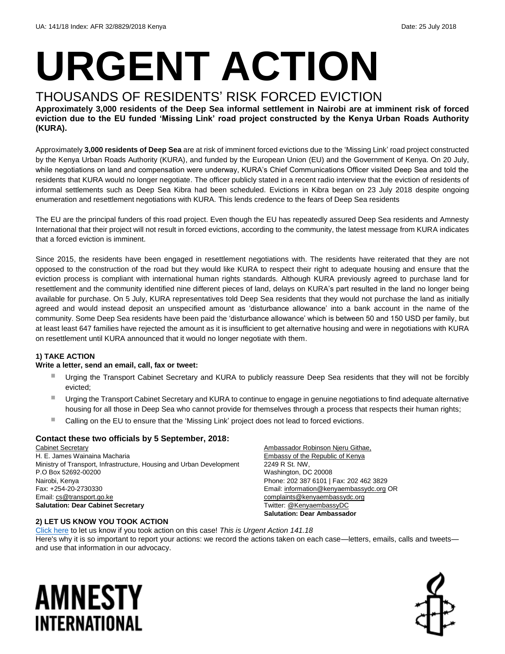# **URGENT ACTION**

### THOUSANDS OF RESIDENTS' RISK FORCED EVICTION

**Approximately 3,000 residents of the Deep Sea informal settlement in Nairobi are at imminent risk of forced eviction due to the EU funded 'Missing Link' road project constructed by the Kenya Urban Roads Authority (KURA).**

Approximately **3,000 residents of Deep Sea** are at risk of imminent forced evictions due to the 'Missing Link' road project constructed by the Kenya Urban Roads Authority (KURA), and funded by the European Union (EU) and the Government of Kenya. On 20 July, while negotiations on land and compensation were underway, KURA's Chief Communications Officer visited Deep Sea and told the residents that KURA would no longer negotiate. The officer publicly stated in a recent radio interview that the eviction of residents of informal settlements such as Deep Sea Kibra had been scheduled. Evictions in Kibra began on 23 July 2018 despite ongoing enumeration and resettlement negotiations with KURA. This lends credence to the fears of Deep Sea residents

The EU are the principal funders of this road project. Even though the EU has repeatedly assured Deep Sea residents and Amnesty International that their project will not result in forced evictions, according to the community, the latest message from KURA indicates that a forced eviction is imminent.

Since 2015, the residents have been engaged in resettlement negotiations with. The residents have reiterated that they are not opposed to the construction of the road but they would like KURA to respect their right to adequate housing and ensure that the eviction process is compliant with international human rights standards. Although KURA previously agreed to purchase land for resettlement and the community identified nine different pieces of land, delays on KURA's part resulted in the land no longer being available for purchase. On 5 July, KURA representatives told Deep Sea residents that they would not purchase the land as initially agreed and would instead deposit an unspecified amount as 'disturbance allowance' into a bank account in the name of the community. Some Deep Sea residents have been paid the 'disturbance allowance' which is between 50 and 150 USD per family, but at least least 647 families have rejected the amount as it is insufficient to get alternative housing and were in negotiations with KURA on resettlement until KURA announced that it would no longer negotiate with them.

#### **1) TAKE ACTION**

#### **Write a letter, send an email, call, fax or tweet:**

- Urging the Transport Cabinet Secretary and KURA to publicly reassure Deep Sea residents that they will not be forcibly evicted;
- Urging the Transport Cabinet Secretary and KURA to continue to engage in genuine negotiations to find adequate alternative housing for all those in Deep Sea who cannot provide for themselves through a process that respects their human rights;
- Calling on the EU to ensure that the 'Missing Link' project does not lead to forced evictions.

#### **Contact these two officials by 5 September, 2018:**

Cabinet Secretary H. E. James Wainaina Macharia Ministry of Transport, Infrastructure, Housing and Urban Development P.O Box 52692-00200 Nairobi, Kenya Fax: +254-20-2730330 Email: [cs@transport.go.ke](mailto:cs@transport.go.ke) **Salutation: Dear Cabinet Secretary**

Ambassador Robinson Njeru Githae, Embassy of the Republic of Kenya 2249 R St. NW, Washington, DC 20008 Phone: 202 387 6101 | Fax: 202 462 3829 Email[: information@kenyaembassydc.org](mailto:information@kenyaembassydc.org) OR [complaints@kenyaembassydc.org](mailto:complaints@kenyaembassydc.org) Twitter[: @KenyaembassyDC](https://twitter.com/kenyaembassydc?lang=en) **Salutation: Dear Ambassador**

#### **2) LET US KNOW YOU TOOK ACTION**

[Click here](https://www.amnestyusa.org/report-urgent-actions/) to let us know if you took action on this case! *This is Urgent Action 141.18* Here's why it is so important to report your actions: we record the actions taken on each case—letters, emails, calls and tweets and use that information in our advocacy.

## AMNESTY INTERNATIONAL